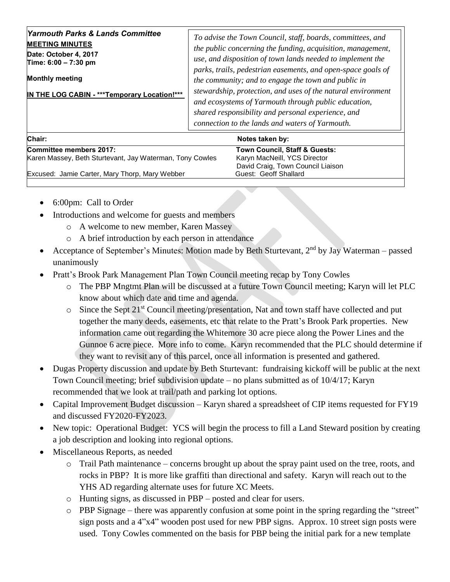| <b>Yarmouth Parks &amp; Lands Committee</b><br><b>MEETING MINUTES</b><br>Date: October 4, 2017<br>Time: 6:00 - 7:30 pm<br><b>Monthly meeting</b><br>IN THE LOG CABIN - *** Temporary Location!*** | To advise the Town Council, staff, boards, committees, and<br>the public concerning the funding, acquisition, management,<br>use, and disposition of town lands needed to implement the<br>parks, trails, pedestrian easements, and open-space goals of<br>the community; and to engage the town and public in<br>stewardship, protection, and uses of the natural environment<br>and ecosystems of Yarmouth through public education,<br>shared responsibility and personal experience, and |
|---------------------------------------------------------------------------------------------------------------------------------------------------------------------------------------------------|----------------------------------------------------------------------------------------------------------------------------------------------------------------------------------------------------------------------------------------------------------------------------------------------------------------------------------------------------------------------------------------------------------------------------------------------------------------------------------------------|
|                                                                                                                                                                                                   | connection to the lands and waters of Yarmouth.                                                                                                                                                                                                                                                                                                                                                                                                                                              |

| Chair:                                                   | Notes taken by:                   |
|----------------------------------------------------------|-----------------------------------|
| Committee members 2017:                                  | Town Council, Staff & Guests:     |
| Karen Massey, Beth Sturtevant, Jay Waterman, Tony Cowles | Karyn MacNeill, YCS Director      |
|                                                          | David Craig, Town Council Liaison |
| Excused: Jamie Carter, Mary Thorp, Mary Webber           | Guest: Geoff Shallard             |
|                                                          |                                   |

- 6:00pm: Call to Order
- Introductions and welcome for guests and members
	- o A welcome to new member, Karen Massey
	- o A brief introduction by each person in attendance
- Acceptance of September's Minutes: Motion made by Beth Sturtevant, 2<sup>nd</sup> by Jay Waterman passed unanimously
- Pratt's Brook Park Management Plan Town Council meeting recap by Tony Cowles
	- o The PBP Mngtmt Plan will be discussed at a future Town Council meeting; Karyn will let PLC know about which date and time and agenda.
	- $\circ$  Since the Sept 21<sup>st</sup> Council meeting/presentation, Nat and town staff have collected and put together the many deeds, easements, etc that relate to the Pratt's Brook Park properties. New information came out regarding the Whitemore 30 acre piece along the Power Lines and the Gunnoe 6 acre piece. More info to come. Karyn recommended that the PLC should determine if they want to revisit any of this parcel, once all information is presented and gathered.
- Dugas Property discussion and update by Beth Sturtevant: fundraising kickoff will be public at the next Town Council meeting; brief subdivision update – no plans submitted as of 10/4/17; Karyn recommended that we look at trail/path and parking lot options.
- Capital Improvement Budget discussion Karyn shared a spreadsheet of CIP items requested for FY19 and discussed FY2020-FY2023.
- New topic: Operational Budget: YCS will begin the process to fill a Land Steward position by creating a job description and looking into regional options.
- Miscellaneous Reports, as needed
	- o Trail Path maintenance concerns brought up about the spray paint used on the tree, roots, and rocks in PBP? It is more like graffiti than directional and safety. Karyn will reach out to the YHS AD regarding alternate uses for future XC Meets.
	- o Hunting signs, as discussed in PBP posted and clear for users.
	- o PBP Signage there was apparently confusion at some point in the spring regarding the "street" sign posts and a 4"x4" wooden post used for new PBP signs. Approx. 10 street sign posts were used. Tony Cowles commented on the basis for PBP being the initial park for a new template